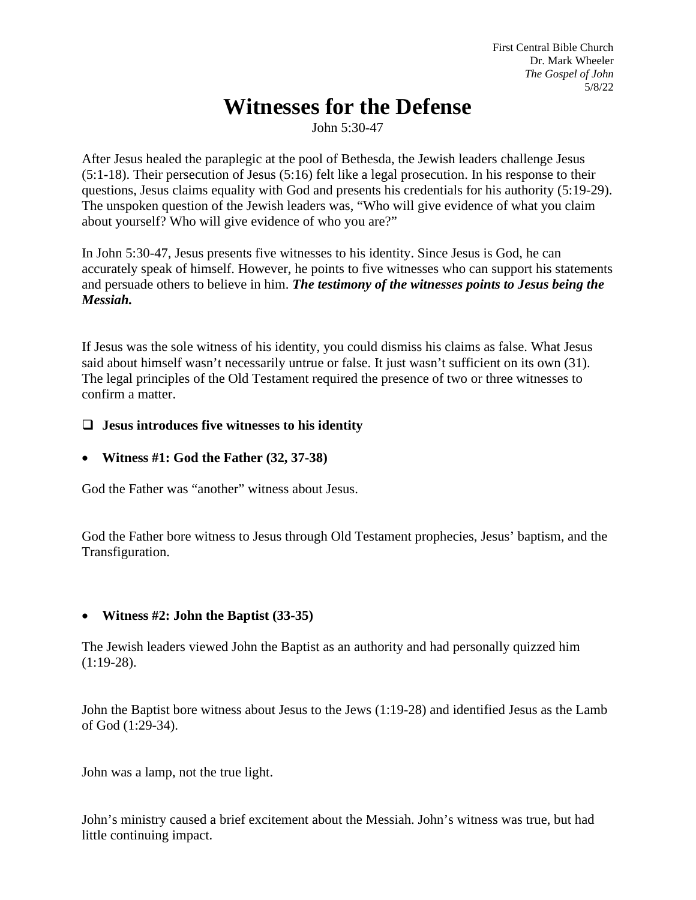First Central Bible Church Dr. Mark Wheeler *The Gospel of John* 5/8/22

# **Witnesses for the Defense**

John 5:30-47

After Jesus healed the paraplegic at the pool of Bethesda, the Jewish leaders challenge Jesus (5:1-18). Their persecution of Jesus (5:16) felt like a legal prosecution. In his response to their questions, Jesus claims equality with God and presents his credentials for his authority (5:19-29). The unspoken question of the Jewish leaders was, "Who will give evidence of what you claim about yourself? Who will give evidence of who you are?"

In John 5:30-47, Jesus presents five witnesses to his identity. Since Jesus is God, he can accurately speak of himself. However, he points to five witnesses who can support his statements and persuade others to believe in him. *The testimony of the witnesses points to Jesus being the Messiah.*

If Jesus was the sole witness of his identity, you could dismiss his claims as false. What Jesus said about himself wasn't necessarily untrue or false. It just wasn't sufficient on its own (31). The legal principles of the Old Testament required the presence of two or three witnesses to confirm a matter.

## **Jesus introduces five witnesses to his identity**

• **Witness #1: God the Father (32, 37-38)**

God the Father was "another" witness about Jesus.

God the Father bore witness to Jesus through Old Testament prophecies, Jesus' baptism, and the Transfiguration.

## • **Witness #2: John the Baptist (33-35)**

The Jewish leaders viewed John the Baptist as an authority and had personally quizzed him  $(1:19-28).$ 

John the Baptist bore witness about Jesus to the Jews (1:19-28) and identified Jesus as the Lamb of God (1:29-34).

John was a lamp, not the true light.

John's ministry caused a brief excitement about the Messiah. John's witness was true, but had little continuing impact.